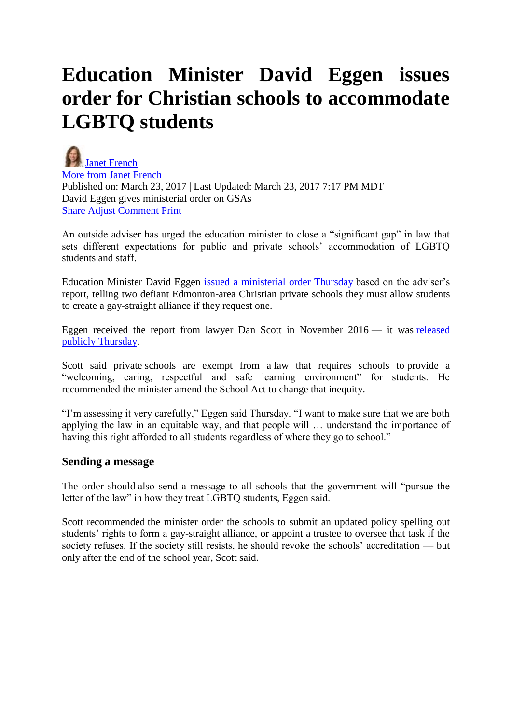## **Education Minister David Eggen issues order for Christian schools to accommodate LGBTQ students**

[Janet French](http://edmontonjournal.com/author/spjanetfrench1) [More from Janet French](http://edmontonjournal.com/author/spjanetfrench1) Published on: March 23, 2017 | Last Updated: March 23, 2017 7:17 PM MDT David Eggen gives ministerial order on GSAs [Share](http://edmontonjournal.com/news/local-news/education-minister-issues-order-for-christian-schools-to-accommodate-lqbtq-students) [Adjust](http://edmontonjournal.com/news/local-news/education-minister-issues-order-for-christian-schools-to-accommodate-lqbtq-students) [Comment](http://edmontonjournal.com/news/local-news/education-minister-issues-order-for-christian-schools-to-accommodate-lqbtq-students) [Print](javascript:window.print();)

An outside adviser has urged the education minister to close a "significant gap" in law that sets different expectations for public and private schools' accommodation of LGBTQ students and staff.

Education Minister David Eggen [issued a ministerial order Thursday](http://wpmedia.edmontonjournal.com/2017/03/gsa-ministerial-order.docx) based on the adviser's report, telling two defiant Edmonton-area Christian private schools they must allow students to create a gay-straight alliance if they request one.

Eggen received the report from lawyer Dan Scott in November 2016 — it was [released](http://wpmedia.edmontonjournal.com/2017/03/dan-scott-report.pdf)  [publicly Thursday.](http://wpmedia.edmontonjournal.com/2017/03/dan-scott-report.pdf)

Scott said private schools are exempt from a law that requires schools to provide a "welcoming, caring, respectful and safe learning environment" for students. He recommended the minister amend the School Act to change that inequity.

"I'm assessing it very carefully," Eggen said Thursday. "I want to make sure that we are both applying the law in an equitable way, and that people will … understand the importance of having this right afforded to all students regardless of where they go to school."

## **Sending a message**

The order should also send a message to all schools that the government will "pursue the letter of the law" in how they treat LGBTQ students, Eggen said.

Scott recommended the minister order the schools to submit an updated policy spelling out students' rights to form a gay-straight alliance, or appoint a trustee to oversee that task if the society refuses. If the society still resists, he should revoke the schools' accreditation — but only after the end of the school year, Scott said.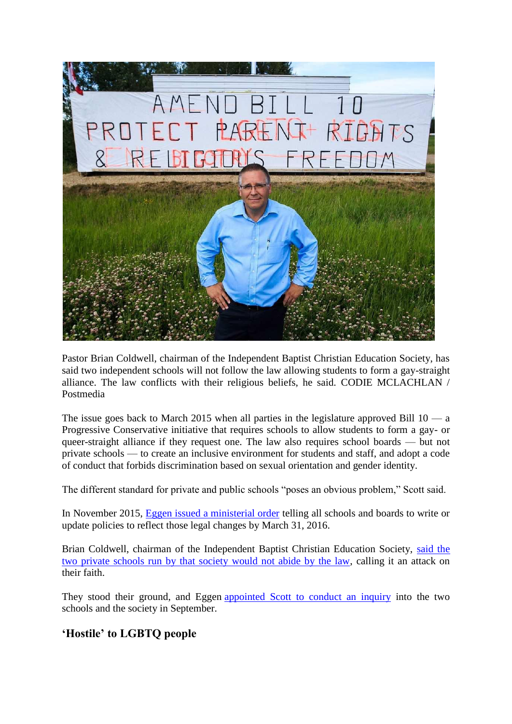

Pastor Brian Coldwell, chairman of the Independent Baptist Christian Education Society, has said two independent schools will not follow the law allowing students to form a gay-straight alliance. The law conflicts with their religious beliefs, he said. CODIE MCLACHLAN / Postmedia

The issue goes back to March 2015 when all parties in the legislature approved Bill  $10 - a$ Progressive Conservative initiative that requires schools to allow students to form a gay- or queer-straight alliance if they request one. The law also requires school boards — but not private schools — to create an inclusive environment for students and staff, and adopt a code of conduct that forbids discrimination based on sexual orientation and gender identity.

The different standard for private and public schools "poses an obvious problem," Scott said.

In November 2015, [Eggen issued a ministerial order](http://edmontonjournal.com/news/politics/alberta-education-minister-reiterates-call-for-school-board-policy-protecting-sexual-minorities) telling all schools and boards to write or update policies to reflect those legal changes by March 31, 2016.

Brian Coldwell, chairman of the Independent Baptist Christian Education Society, [said the](http://edmontonjournal.com/news/local-news/funding-at-risk-for-religious-schools-that-wont-respect-students-rights-education-minister-says) [two private schools run by that society would not abide by the law,](http://edmontonjournal.com/news/local-news/funding-at-risk-for-religious-schools-that-wont-respect-students-rights-education-minister-says) calling it an attack on their faith.

They stood their ground, and Eggen [appointed Scott to conduct an inquiry](http://edmontonjournal.com/news/local-news/lawyer-chosen-to-look-into-baptist-schools-policies-on-gay-straight-alliances) into the two schools and the society in September.

## **'Hostile' to LGBTQ people**